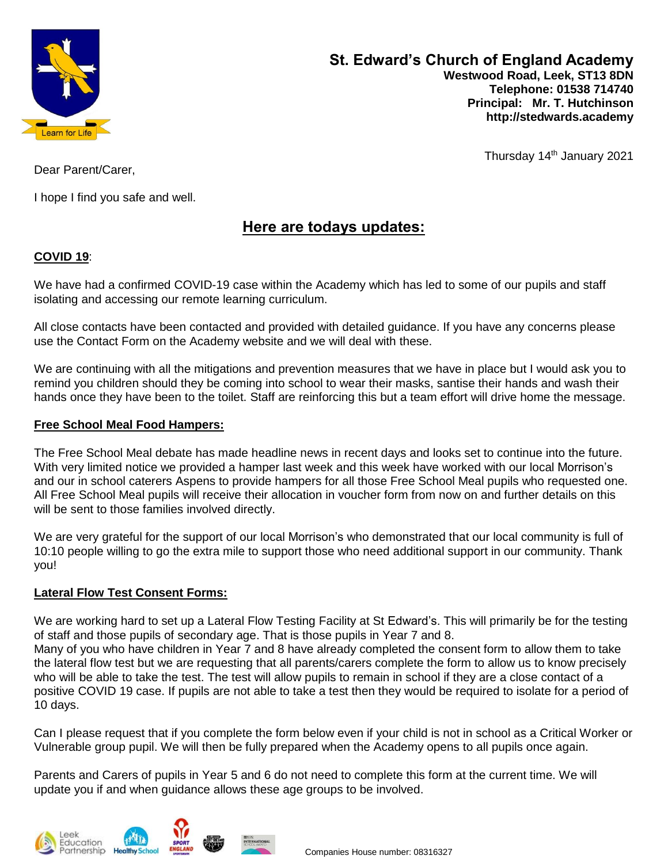

Thursday 14<sup>th</sup> January 2021

Dear Parent/Carer,

I hope I find you safe and well.

# **Here are todays updates:**

### **COVID 19**:

We have had a confirmed COVID-19 case within the Academy which has led to some of our pupils and staff isolating and accessing our remote learning curriculum.

All close contacts have been contacted and provided with detailed guidance. If you have any concerns please use the Contact Form on the Academy website and we will deal with these.

We are continuing with all the mitigations and prevention measures that we have in place but I would ask you to remind you children should they be coming into school to wear their masks, santise their hands and wash their hands once they have been to the toilet. Staff are reinforcing this but a team effort will drive home the message.

### **Free School Meal Food Hampers:**

The Free School Meal debate has made headline news in recent days and looks set to continue into the future. With very limited notice we provided a hamper last week and this week have worked with our local Morrison's and our in school caterers Aspens to provide hampers for all those Free School Meal pupils who requested one. All Free School Meal pupils will receive their allocation in voucher form from now on and further details on this will be sent to those families involved directly.

We are very grateful for the support of our local Morrison's who demonstrated that our local community is full of 10:10 people willing to go the extra mile to support those who need additional support in our community. Thank you!

### **Lateral Flow Test Consent Forms:**

We are working hard to set up a Lateral Flow Testing Facility at St Edward's. This will primarily be for the testing of staff and those pupils of secondary age. That is those pupils in Year 7 and 8. Many of you who have children in Year 7 and 8 have already completed the consent form to allow them to take the lateral flow test but we are requesting that all parents/carers complete the form to allow us to know precisely who will be able to take the test. The test will allow pupils to remain in school if they are a close contact of a positive COVID 19 case. If pupils are not able to take a test then they would be required to isolate for a period of 10 days.

Can I please request that if you complete the form below even if your child is not in school as a Critical Worker or Vulnerable group pupil. We will then be fully prepared when the Academy opens to all pupils once again.

Parents and Carers of pupils in Year 5 and 6 do not need to complete this form at the current time. We will update you if and when guidance allows these age groups to be involved.





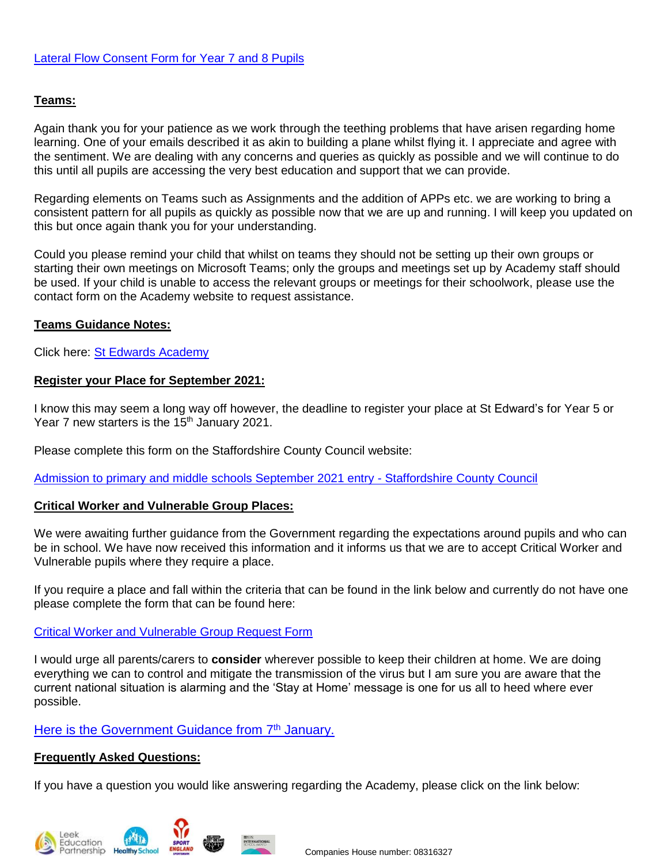### **Teams:**

Again thank you for your patience as we work through the teething problems that have arisen regarding home learning. One of your emails described it as akin to building a plane whilst flying it. I appreciate and agree with the sentiment. We are dealing with any concerns and queries as quickly as possible and we will continue to do this until all pupils are accessing the very best education and support that we can provide.

Regarding elements on Teams such as Assignments and the addition of APPs etc. we are working to bring a consistent pattern for all pupils as quickly as possible now that we are up and running. I will keep you updated on this but once again thank you for your understanding.

Could you please remind your child that whilst on teams they should not be setting up their own groups or starting their own meetings on Microsoft Teams; only the groups and meetings set up by Academy staff should be used. If your child is unable to access the relevant groups or meetings for their schoolwork, please use the contact form on the Academy website to request assistance.

#### **Teams Guidance Notes:**

Click here: [St Edwards Academy](https://www.stedwards.academy/curriculum/home-learning-timetable)

#### **Register your Place for September 2021:**

I know this may seem a long way off however, the deadline to register your place at St Edward's for Year 5 or Year 7 new starters is the 15<sup>th</sup> January 2021.

Please complete this form on the Staffordshire County Council website:

[Admission to primary and middle schools September 2021 entry -](https://www.staffordshire.gov.uk/Education/Admissions-primary/Apply/Overview.aspx) Staffordshire County Council

#### **Critical Worker and Vulnerable Group Places:**

We were awaiting further guidance from the Government regarding the expectations around pupils and who can be in school. We have now received this information and it informs us that we are to accept Critical Worker and Vulnerable pupils where they require a place.

If you require a place and fall within the criteria that can be found in the link below and currently do not have one please complete the form that can be found here:

#### [Critical Worker and Vulnerable Group Request Form](https://forms.office.com/Pages/ResponsePage.aspx?id=1fhjb3KZgUuT_NXvEhdWcKayiLvXvodDpRcCWau7pr1UN1hZR0dHVDBUWlQ2NlJBR1VISFZSS0k1US4u)

I would urge all parents/carers to **consider** wherever possible to keep their children at home. We are doing everything we can to control and mitigate the transmission of the virus but I am sure you are aware that the current national situation is alarming and the 'Stay at Home' message is one for us all to heed where ever possible.

#### Here is the [Government](https://assets.publishing.service.gov.uk/government/uploads/system/uploads/attachment_data/file/950510/School_national_restrictions_guidance.pdf) Guidance from 7<sup>th</sup> January.

#### **Frequently Asked Questions:**

If you have a question you would like answering regarding the Academy, please click on the link below:





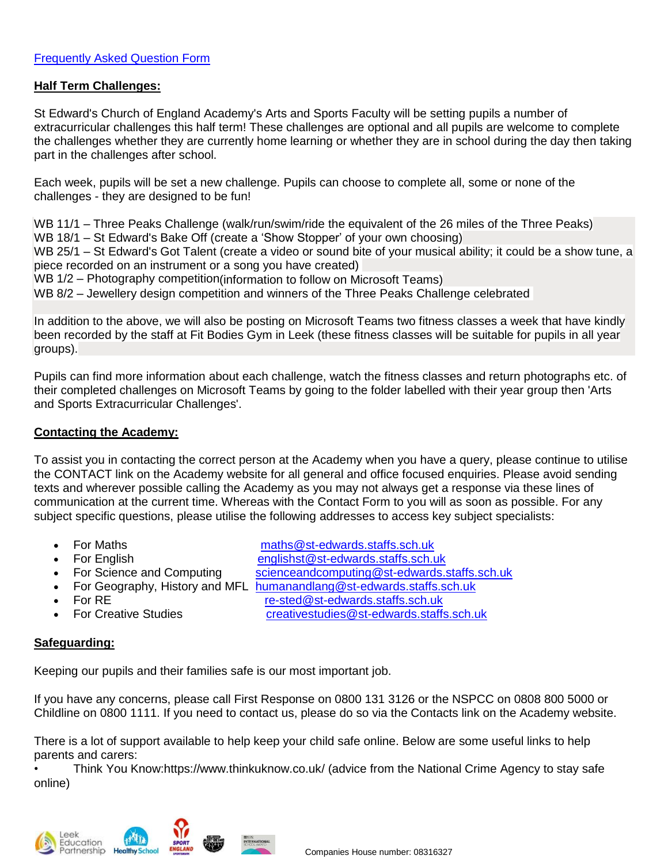#### **Half Term Challenges:**

St Edward's Church of England Academy's Arts and Sports Faculty will be setting pupils a number of extracurricular challenges this half term! These challenges are optional and all pupils are welcome to complete the challenges whether they are currently home learning or whether they are in school during the day then taking part in the challenges after school.

Each week, pupils will be set a new challenge. Pupils can choose to complete all, some or none of the challenges - they are designed to be fun!

WB 11/1 – Three Peaks Challenge (walk/run/swim/ride the equivalent of the 26 miles of the Three Peaks) WB 18/1 – St Edward's Bake Off (create a 'Show Stopper' of your own choosing) WB 25/1 – St Edward's Got Talent (create a video or sound bite of your musical ability; it could be a show tune, a piece recorded on an instrument or a song you have created) WB 1/2 – Photography competition(information to follow on Microsoft Teams)

WB 8/2 – Jewellery design competition and winners of the Three Peaks Challenge celebrated

In addition to the above, we will also be posting on Microsoft Teams two fitness classes a week that have kindly been recorded by the staff at Fit Bodies Gym in Leek (these fitness classes will be suitable for pupils in all year groups).

Pupils can find more information about each challenge, watch the fitness classes and return photographs etc. of their completed challenges on Microsoft Teams by going to the folder labelled with their year group then 'Arts and Sports Extracurricular Challenges'.

#### **Contacting the Academy:**

To assist you in contacting the correct person at the Academy when you have a query, please continue to utilise the CONTACT link on the Academy website for all general and office focused enquiries. Please avoid sending texts and wherever possible calling the Academy as you may not always get a response via these lines of communication at the current time. Whereas with the Contact Form to you will as soon as possible. For any subject specific questions, please utilise the following addresses to access key subject specialists:

For Maths [maths@st-edwards.staffs.sch.uk](mailto:maths@st-edwards.staffs.sch.uk)

- For English englishst@st-edwards.staffs.sch.uk
- For Science and Computing scienceandcomputing@st-edwards.staffs.sch.uk
- For Geography, History and MFL [humanandlang@st-edwards.staffs.sch.uk](mailto:humanandlang@st-edwards.staffs.sch.uk)
- For RE re-sted@st-edwards.staffs.sch.uk
- 

For Creative Studies [creativestudies@st-edwards.staffs.sch.uk](mailto:creativestudies@st-edwards.staffs.sch.uk)

### **Safeguarding:**

Keeping our pupils and their families safe is our most important job.

If you have any concerns, please call First Response on 0800 131 3126 or the NSPCC on 0808 800 5000 or Childline on 0800 1111. If you need to contact us, please do so via the Contacts link on the Academy website.

There is a lot of support available to help keep your child safe online. Below are some useful links to help parents and carers:

• Think You Know:https://www.thinkuknow.co.uk/ (advice from the National Crime Agency to stay safe online)





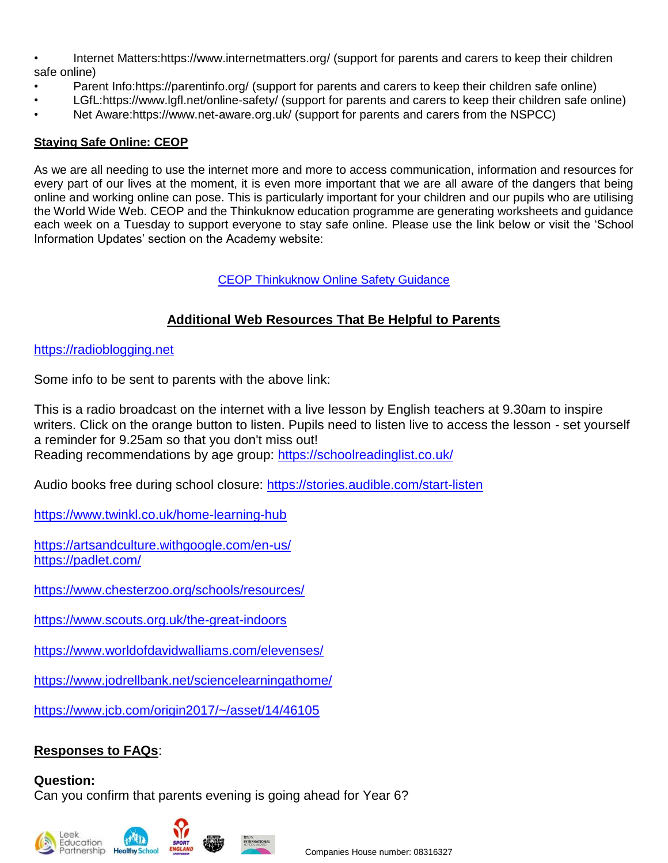- Internet Matters:https://www.internetmatters.org/ (support for parents and carers to keep their children safe online)
- Parent Info:https://parentinfo.org/ (support for parents and carers to keep their children safe online)
- LGfL:https://www.lgfl.net/online-safety/ (support for parents and carers to keep their children safe online)
- Net Aware:https://www.net-aware.org.uk/ (support for parents and carers from the NSPCC)

### **Staying Safe Online: CEOP**

As we are all needing to use the internet more and more to access communication, information and resources for every part of our lives at the moment, it is even more important that we are all aware of the dangers that being online and working online can pose. This is particularly important for your children and our pupils who are utilising the World Wide Web. CEOP and the Thinkuknow education programme are generating worksheets and guidance each week on a Tuesday to support everyone to stay safe online. Please use the link below or visit the 'School Information Updates' section on the Academy website:

### [CEOP Thinkuknow Online Safety Guidance](https://www.stedwards.academy/admin/ckfinder/userfiles/files/CEOP%20sheet%20for%20parents%20and%20pupils.pdf)

# **Additional Web Resources That Be Helpful to Parents**

### [https://radioblogging.net](https://radioblogging.net/)

Some info to be sent to parents with the above link:

This is a radio broadcast on the internet with a live lesson by English teachers at 9.30am to inspire writers. Click on the orange button to listen. Pupils need to listen live to access the lesson - set yourself a reminder for 9.25am so that you don't miss out! Reading recommendations by age group: <https://schoolreadinglist.co.uk/>

Audio books free during school closure: <https://stories.audible.com/start-listen>

<https://www.twinkl.co.uk/home-learning-hub>

<https://artsandculture.withgoogle.com/en-us/> <https://padlet.com/>

<https://www.chesterzoo.org/schools/resources/>

<https://www.scouts.org.uk/the-great-indoors>

<https://www.worldofdavidwalliams.com/elevenses/>

<https://www.jodrellbank.net/sciencelearningathome/>

<https://www.jcb.com/origin2017/~/asset/14/46105>

# **Responses to FAQs**:

### **Question:**

Can you confirm that parents evening is going ahead for Year 6?